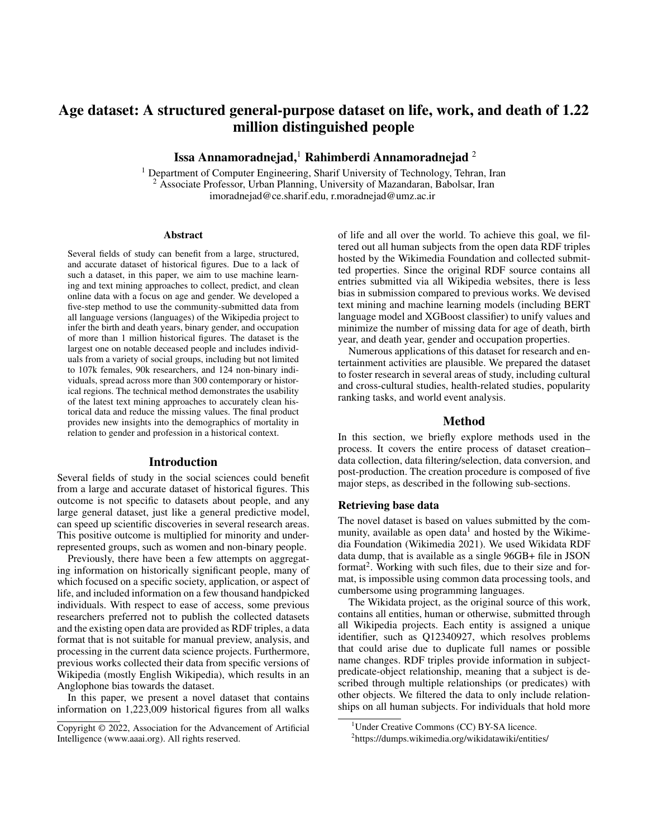# Age dataset: A structured general-purpose dataset on life, work, and death of 1.22 million distinguished people

Issa Annamoradnejad,<sup>1</sup> Rahimberdi Annamoradnejad <sup>2</sup>

<sup>1</sup> Department of Computer Engineering, Sharif University of Technology, Tehran, Iran <sup>2</sup> Associate Professor, Urban Planning, University of Mazandaran, Babolsar, Iran imoradnejad@ce.sharif.edu, r.moradnejad@umz.ac.ir

#### Abstract

Several fields of study can benefit from a large, structured, and accurate dataset of historical figures. Due to a lack of such a dataset, in this paper, we aim to use machine learning and text mining approaches to collect, predict, and clean online data with a focus on age and gender. We developed a five-step method to use the community-submitted data from all language versions (languages) of the Wikipedia project to infer the birth and death years, binary gender, and occupation of more than 1 million historical figures. The dataset is the largest one on notable deceased people and includes individuals from a variety of social groups, including but not limited to 107k females, 90k researchers, and 124 non-binary individuals, spread across more than 300 contemporary or historical regions. The technical method demonstrates the usability of the latest text mining approaches to accurately clean historical data and reduce the missing values. The final product provides new insights into the demographics of mortality in relation to gender and profession in a historical context.

#### Introduction

Several fields of study in the social sciences could benefit from a large and accurate dataset of historical figures. This outcome is not specific to datasets about people, and any large general dataset, just like a general predictive model, can speed up scientific discoveries in several research areas. This positive outcome is multiplied for minority and underrepresented groups, such as women and non-binary people.

Previously, there have been a few attempts on aggregating information on historically significant people, many of which focused on a specific society, application, or aspect of life, and included information on a few thousand handpicked individuals. With respect to ease of access, some previous researchers preferred not to publish the collected datasets and the existing open data are provided as RDF triples, a data format that is not suitable for manual preview, analysis, and processing in the current data science projects. Furthermore, previous works collected their data from specific versions of Wikipedia (mostly English Wikipedia), which results in an Anglophone bias towards the dataset.

In this paper, we present a novel dataset that contains information on 1,223,009 historical figures from all walks

of life and all over the world. To achieve this goal, we filtered out all human subjects from the open data RDF triples hosted by the Wikimedia Foundation and collected submitted properties. Since the original RDF source contains all entries submitted via all Wikipedia websites, there is less bias in submission compared to previous works. We devised text mining and machine learning models (including BERT language model and XGBoost classifier) to unify values and minimize the number of missing data for age of death, birth year, and death year, gender and occupation properties.

Numerous applications of this dataset for research and entertainment activities are plausible. We prepared the dataset to foster research in several areas of study, including cultural and cross-cultural studies, health-related studies, popularity ranking tasks, and world event analysis.

## Method

In this section, we briefly explore methods used in the process. It covers the entire process of dataset creation– data collection, data filtering/selection, data conversion, and post-production. The creation procedure is composed of five major steps, as described in the following sub-sections.

### Retrieving base data

The novel dataset is based on values submitted by the community, available as open data<sup>1</sup> and hosted by the Wikimedia Foundation (Wikimedia 2021). We used Wikidata RDF data dump, that is available as a single 96GB+ file in JSON format<sup>2</sup>. Working with such files, due to their size and format, is impossible using common data processing tools, and cumbersome using programming languages.

The Wikidata project, as the original source of this work, contains all entities, human or otherwise, submitted through all Wikipedia projects. Each entity is assigned a unique identifier, such as Q12340927, which resolves problems that could arise due to duplicate full names or possible name changes. RDF triples provide information in subjectpredicate-object relationship, meaning that a subject is described through multiple relationships (or predicates) with other objects. We filtered the data to only include relationships on all human subjects. For individuals that hold more

Copyright © 2022, Association for the Advancement of Artificial Intelligence (www.aaai.org). All rights reserved.

<sup>&</sup>lt;sup>1</sup>Under Creative Commons (CC) BY-SA licence.

<sup>&</sup>lt;sup>2</sup>https://dumps.wikimedia.org/wikidatawiki/entities/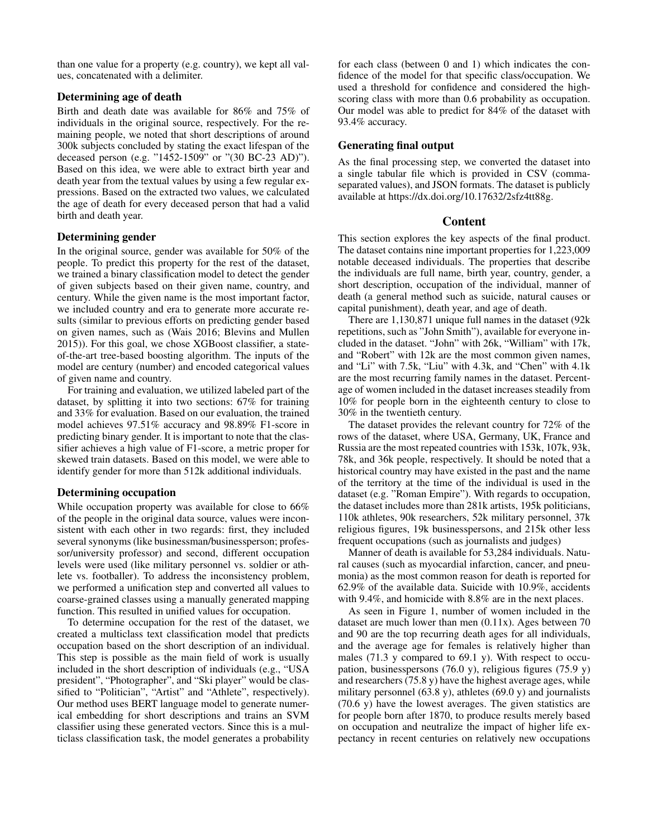than one value for a property (e.g. country), we kept all values, concatenated with a delimiter.

### Determining age of death

Birth and death date was available for 86% and 75% of individuals in the original source, respectively. For the remaining people, we noted that short descriptions of around 300k subjects concluded by stating the exact lifespan of the deceased person (e.g. "1452-1509" or "(30 BC-23 AD)"). Based on this idea, we were able to extract birth year and death year from the textual values by using a few regular expressions. Based on the extracted two values, we calculated the age of death for every deceased person that had a valid birth and death year.

## Determining gender

In the original source, gender was available for 50% of the people. To predict this property for the rest of the dataset, we trained a binary classification model to detect the gender of given subjects based on their given name, country, and century. While the given name is the most important factor, we included country and era to generate more accurate results (similar to previous efforts on predicting gender based on given names, such as (Wais 2016; Blevins and Mullen 2015)). For this goal, we chose XGBoost classifier, a stateof-the-art tree-based boosting algorithm. The inputs of the model are century (number) and encoded categorical values of given name and country.

For training and evaluation, we utilized labeled part of the dataset, by splitting it into two sections: 67% for training and 33% for evaluation. Based on our evaluation, the trained model achieves 97.51% accuracy and 98.89% F1-score in predicting binary gender. It is important to note that the classifier achieves a high value of F1-score, a metric proper for skewed train datasets. Based on this model, we were able to identify gender for more than 512k additional individuals.

# Determining occupation

While occupation property was available for close to 66% of the people in the original data source, values were inconsistent with each other in two regards: first, they included several synonyms (like businessman/businessperson; professor/university professor) and second, different occupation levels were used (like military personnel vs. soldier or athlete vs. footballer). To address the inconsistency problem, we performed a unification step and converted all values to coarse-grained classes using a manually generated mapping function. This resulted in unified values for occupation.

To determine occupation for the rest of the dataset, we created a multiclass text classification model that predicts occupation based on the short description of an individual. This step is possible as the main field of work is usually included in the short description of individuals (e.g., "USA president", "Photographer", and "Ski player" would be classified to "Politician", "Artist" and "Athlete", respectively). Our method uses BERT language model to generate numerical embedding for short descriptions and trains an SVM classifier using these generated vectors. Since this is a multiclass classification task, the model generates a probability for each class (between 0 and 1) which indicates the confidence of the model for that specific class/occupation. We used a threshold for confidence and considered the highscoring class with more than 0.6 probability as occupation. Our model was able to predict for 84% of the dataset with 93.4% accuracy.

# Generating final output

As the final processing step, we converted the dataset into a single tabular file which is provided in CSV (commaseparated values), and JSON formats. The dataset is publicly available at https://dx.doi.org/10.17632/2sfz4tt88g.

# Content

This section explores the key aspects of the final product. The dataset contains nine important properties for 1,223,009 notable deceased individuals. The properties that describe the individuals are full name, birth year, country, gender, a short description, occupation of the individual, manner of death (a general method such as suicide, natural causes or capital punishment), death year, and age of death.

There are 1,130,871 unique full names in the dataset (92k repetitions, such as "John Smith"), available for everyone included in the dataset. "John" with 26k, "William" with 17k, and "Robert" with 12k are the most common given names, and "Li" with 7.5k, "Liu" with 4.3k, and "Chen" with 4.1k are the most recurring family names in the dataset. Percentage of women included in the dataset increases steadily from 10% for people born in the eighteenth century to close to 30% in the twentieth century.

The dataset provides the relevant country for 72% of the rows of the dataset, where USA, Germany, UK, France and Russia are the most repeated countries with 153k, 107k, 93k, 78k, and 36k people, respectively. It should be noted that a historical country may have existed in the past and the name of the territory at the time of the individual is used in the dataset (e.g. "Roman Empire"). With regards to occupation, the dataset includes more than 281k artists, 195k politicians, 110k athletes, 90k researchers, 52k military personnel, 37k religious figures, 19k businesspersons, and 215k other less frequent occupations (such as journalists and judges)

Manner of death is available for 53,284 individuals. Natural causes (such as myocardial infarction, cancer, and pneumonia) as the most common reason for death is reported for 62.9% of the available data. Suicide with 10.9%, accidents with 9.4%, and homicide with 8.8% are in the next places.

As seen in Figure 1, number of women included in the dataset are much lower than men (0.11x). Ages between 70 and 90 are the top recurring death ages for all individuals, and the average age for females is relatively higher than males (71.3 y compared to 69.1 y). With respect to occupation, businesspersons (76.0 y), religious figures (75.9 y) and researchers (75.8 y) have the highest average ages, while military personnel (63.8 y), athletes (69.0 y) and journalists (70.6 y) have the lowest averages. The given statistics are for people born after 1870, to produce results merely based on occupation and neutralize the impact of higher life expectancy in recent centuries on relatively new occupations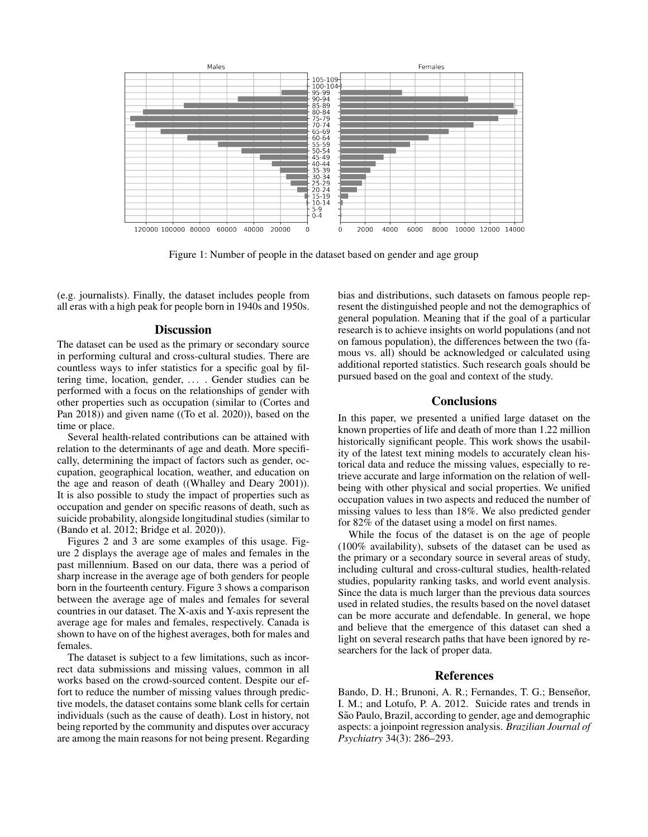

Figure 1: Number of people in the dataset based on gender and age group

(e.g. journalists). Finally, the dataset includes people from all eras with a high peak for people born in 1940s and 1950s.

### **Discussion**

The dataset can be used as the primary or secondary source in performing cultural and cross-cultural studies. There are countless ways to infer statistics for a specific goal by filtering time, location, gender, .... Gender studies can be performed with a focus on the relationships of gender with other properties such as occupation (similar to (Cortes and Pan 2018)) and given name ((To et al. 2020)), based on the time or place.

Several health-related contributions can be attained with relation to the determinants of age and death. More specifically, determining the impact of factors such as gender, occupation, geographical location, weather, and education on the age and reason of death ((Whalley and Deary 2001)). It is also possible to study the impact of properties such as occupation and gender on specific reasons of death, such as suicide probability, alongside longitudinal studies (similar to (Bando et al. 2012; Bridge et al. 2020)).

Figures 2 and 3 are some examples of this usage. Figure 2 displays the average age of males and females in the past millennium. Based on our data, there was a period of sharp increase in the average age of both genders for people born in the fourteenth century. Figure 3 shows a comparison between the average age of males and females for several countries in our dataset. The X-axis and Y-axis represent the average age for males and females, respectively. Canada is shown to have on of the highest averages, both for males and females.

The dataset is subject to a few limitations, such as incorrect data submissions and missing values, common in all works based on the crowd-sourced content. Despite our effort to reduce the number of missing values through predictive models, the dataset contains some blank cells for certain individuals (such as the cause of death). Lost in history, not being reported by the community and disputes over accuracy are among the main reasons for not being present. Regarding bias and distributions, such datasets on famous people represent the distinguished people and not the demographics of general population. Meaning that if the goal of a particular research is to achieve insights on world populations (and not on famous population), the differences between the two (famous vs. all) should be acknowledged or calculated using additional reported statistics. Such research goals should be pursued based on the goal and context of the study.

### **Conclusions**

In this paper, we presented a unified large dataset on the known properties of life and death of more than 1.22 million historically significant people. This work shows the usability of the latest text mining models to accurately clean historical data and reduce the missing values, especially to retrieve accurate and large information on the relation of wellbeing with other physical and social properties. We unified occupation values in two aspects and reduced the number of missing values to less than 18%. We also predicted gender for 82% of the dataset using a model on first names.

While the focus of the dataset is on the age of people (100% availability), subsets of the dataset can be used as the primary or a secondary source in several areas of study, including cultural and cross-cultural studies, health-related studies, popularity ranking tasks, and world event analysis. Since the data is much larger than the previous data sources used in related studies, the results based on the novel dataset can be more accurate and defendable. In general, we hope and believe that the emergence of this dataset can shed a light on several research paths that have been ignored by researchers for the lack of proper data.

### References

Bando, D. H.; Brunoni, A. R.; Fernandes, T. G.; Benseñor, I. M.; and Lotufo, P. A. 2012. Suicide rates and trends in São Paulo, Brazil, according to gender, age and demographic aspects: a joinpoint regression analysis. *Brazilian Journal of Psychiatry* 34(3): 286–293.